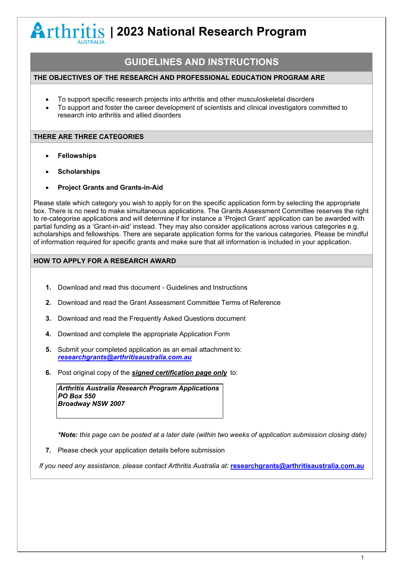**| 2023 National Research Program**

## **GUIDELINES AND INSTRUCTIONS**

### **THE OBJECTIVES OF THE RESEARCH AND PROFESSIONAL EDUCATION PROGRAM ARE**

- To support specific research projects into arthritis and other musculoskeletal disorders
- To support and foster the career development of scientists and clinical investigators committed to research into arthritis and allied disorders

### **THERE ARE THREE CATEGORIES**

- **Fellowships**
- **Scholarships**
- **Project Grants and Grants-in-Aid**

Please state which category you wish to apply for on the specific application form by selecting the appropriate box. There is no need to make simultaneous applications. The Grants Assessment Committee reserves the right to re-categorise applications and will determine if for instance a 'Project Grant' application can be awarded with partial funding as a 'Grant-in-aid' instead. They may also consider applications across various categories e.g. scholarships and fellowships. There are separate application forms for the various categories. Please be mindful of information required for specific grants and make sure that all information is included in your application.

## **HOW TO APPLY FOR A RESEARCH AWARD**

- **1.** Download and read this document Guidelines and Instructions
- **2.** Download and read the Grant Assessment Committee Terms of Reference
- **3.** Download and read the Frequently Asked Questions document
- **4.** Download and complete the appropriate Application Form
- **5.** Submit your completed application as an email attachment to: *[researchgrants@arthritisaustralia.com.au](mailto:researchgrants@arthritisaustralia.com.au)*
- **6.** Post original copy of the *signed certification page only* to:

*Arthritis Australia Research Program Applications PO Box 550 Broadway NSW 2007*

*\*Note: this page can be posted at a later date (within two weeks of application submission closing date)*

**7.** Please check your application details before submission

*If you need any assistance, please contact Arthritis Australia at:* **[researchgrants@arthritisaustralia.com.au](mailto:researchgrants@arthritisaustralia.com.au)**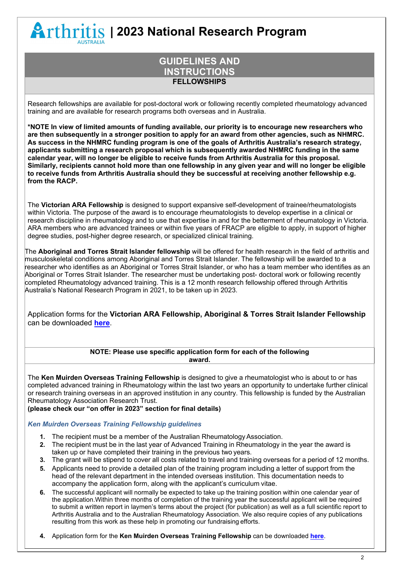**| 2023 National Research Program**

## **GUIDELINES AND INSTRUCTIONS FELLOWSHIPS**

Research fellowships are available for post-doctoral work or following recently completed rheumatology advanced training and are available for research programs both overseas and in Australia.

**\*NOTE In view of limited amounts of funding available, our priority is to encourage new researchers who are then subsequently in a stronger position to apply for an award from other agencies, such as NHMRC. As success in the NHMRC funding program is one of the goals of Arthritis Australia's research strategy, applicants submitting a research proposal which is subsequently awarded NHMRC funding in the same calendar year, will no longer be eligible to receive funds from Arthritis Australia for this proposal. Similarly, recipients cannot hold more than one fellowship in any given year and will no longer be eligible to receive funds from Arthritis Australia should they be successful at receiving another fellowship e.g. from the RACP.**

The **Victorian ARA Fellowship** is designed to support expansive self-development of trainee/rheumatologists within Victoria. The purpose of the award is to encourage rheumatologists to develop expertise in a clinical or research discipline in rheumatology and to use that expertise in and for the betterment of rheumatology in Victoria. ARA members who are advanced trainees or within five years of FRACP are eligible to apply, in support of higher degree studies, post-higher degree research, or specialized clinical training.

The **Aboriginal and Torres Strait Islander fellowship** will be offered for health research in the field of arthritis and musculoskeletal conditions among Aboriginal and Torres Strait Islander. The fellowship will be awarded to a researcher who identifies as an Aboriginal or Torres Strait Islander, or who has a team member who identifies as an Aboriginal or Torres Strait Islander. The researcher must be undertaking post- doctoral work or following recently completed Rheumatology advanced training. This is a 12 month research fellowship offered through Arthritis Australia's National Research Program in 2021, to be taken up in 2023.

Application forms for the **Victorian ARA Fellowship, Aboriginal & Torres Strait Islander Fellowship** can be downloaded **[here](https://arthritisaustralia.com.au/programs-research/national-research-program/key-dates-how-to-apply/)**.

#### **NOTE: Please use specific application form for each of the following award.**

The **Ken Muirden Overseas Training Fellowship** is designed to give a rheumatologist who is about to or has completed advanced training in Rheumatology within the last two years an opportunity to undertake further clinical or research training overseas in an approved institution in any country. This fellowship is funded by the Australian Rheumatology Association Research Trust.

**(please check our "on offer in 2023" section for final details)**

### *Ken Muirden Overseas Training Fellowship guidelines*

- **1.** The recipient must be a member of the Australian Rheumatology Association.
- **2.** The recipient must be in the last year of Advanced Training in Rheumatology in the year the award is taken up or have completed their training in the previous two years.
- **3.** The grant will be stipend to cover all costs related to travel and training overseas for a period of 12 months.
- **5.** Applicants need to provide a detailed plan of the training program including a letter of support from the head of the relevant department in the intended overseas institution. This documentation needs to accompany the application form, along with the applicant's curriculum vitae.
- **6.** The successful applicant will normally be expected to take up the training position within one calendar year of the application.Within three months of completion of the training year the successful applicant will be required to submit a written report in laymen's terms about the project (for publication) as well as a full scientific report to Arthritis Australia and to the Australian Rheumatology Association. We also require copies of any publications resulting from this work as these help in promoting our fundraising efforts.
- **4.** Application form for the **Ken Muirden Overseas Training Fellowship** can be downloaded **[here](https://arthritisaustralia.com.au/programs-research/national-research-program/key-dates-how-to-apply/)**.